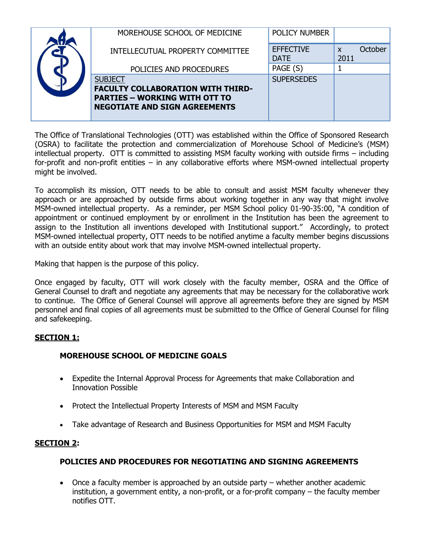|  | MOREHOUSE SCHOOL OF MEDICINE                                                                                                               | <b>POLICY NUMBER</b>            |                                   |         |
|--|--------------------------------------------------------------------------------------------------------------------------------------------|---------------------------------|-----------------------------------|---------|
|  | INTELLECUTUAL PROPERTY COMMITTEE                                                                                                           | <b>EFFECTIVE</b><br><b>DATE</b> | $\boldsymbol{\mathsf{x}}$<br>2011 | October |
|  | POLICIES AND PROCEDURES                                                                                                                    | PAGE (S)                        |                                   |         |
|  | <b>SUBJECT</b><br><b>FACULTY COLLABORATION WITH THIRD-</b><br><b>PARTIES - WORKING WITH OTT TO</b><br><b>NEGOTIATE AND SIGN AGREEMENTS</b> | <b>SUPERSEDES</b>               |                                   |         |

The Office of Translational Technologies (OTT) was established within the Office of Sponsored Research (OSRA) to facilitate the protection and commercialization of Morehouse School of Medicine's (MSM) intellectual property. OTT is committed to assisting MSM faculty working with outside firms – including for-profit and non-profit entities – in any collaborative efforts where MSM-owned intellectual property might be involved.

To accomplish its mission, OTT needs to be able to consult and assist MSM faculty whenever they approach or are approached by outside firms about working together in any way that might involve MSM-owned intellectual property. As a reminder, per MSM School policy 01-90-35:00, "A condition of appointment or continued employment by or enrollment in the Institution has been the agreement to assign to the Institution all inventions developed with Institutional support." Accordingly, to protect MSM-owned intellectual property, OTT needs to be notified anytime a faculty member begins discussions with an outside entity about work that may involve MSM-owned intellectual property.

Making that happen is the purpose of this policy.

Once engaged by faculty, OTT will work closely with the faculty member, OSRA and the Office of General Counsel to draft and negotiate any agreements that may be necessary for the collaborative work to continue. The Office of General Counsel will approve all agreements before they are signed by MSM personnel and final copies of all agreements must be submitted to the Office of General Counsel for filing and safekeeping.

## **SECTION 1:**

## **MOREHOUSE SCHOOL OF MEDICINE GOALS**

- Expedite the Internal Approval Process for Agreements that make Collaboration and Innovation Possible
- Protect the Intellectual Property Interests of MSM and MSM Faculty
- Take advantage of Research and Business Opportunities for MSM and MSM Faculty

## **SECTION 2:**

## **POLICIES AND PROCEDURES FOR NEGOTIATING AND SIGNING AGREEMENTS**

 Once a faculty member is approached by an outside party – whether another academic institution, a government entity, a non-profit, or a for-profit company – the faculty member notifies OTT.